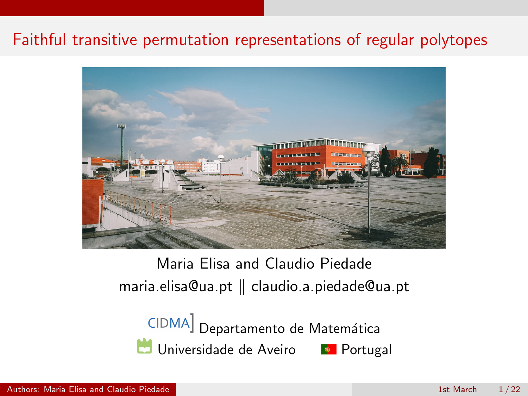### Faithful transitive permutation representations of regular polytopes



Maria Elisa and Claudio Piedade maria.elisa@ua.pt  $\parallel$  claudio.a.piedade@ua.pt

CIDMA] Departamento de Matemática Universidade de Aveiro **Portugal** 

Authors: Maria Elisa and Claudio Piedade 1st March 1 / 22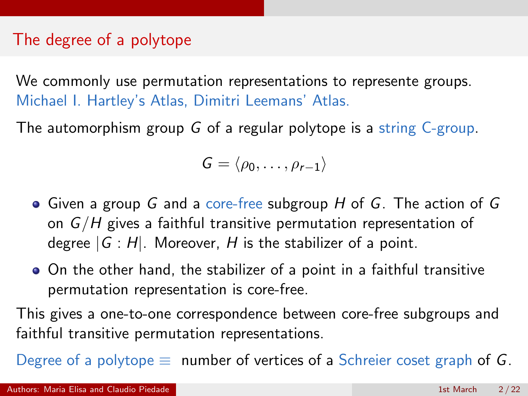### The degree of a polytope

We commonly use permutation representations to represente groups. [Michael I. Hartley's Atlas,](https://www.abstract-polytopes.com/atlas/) [Dimitri Leemans' Atlas.]( http://homepages.ulb.ac.be/~dleemans/polytopes/index.html)

The automorphism group G of a regular polytope is a string C-group.

$$
G=\langle \rho_0,\ldots,\rho_{r-1}\rangle
$$

- Given a group G and a core-free subgroup H of G. The action of G on  $G/H$  gives a faithful transitive permutation representation of degree  $|G : H|$ . Moreover, H is the stabilizer of a point.
- On the other hand, the stabilizer of a point in a faithful transitive permutation representation is core-free.

This gives a one-to-one correspondence between core-free subgroups and faithful transitive permutation representations.

Degree of a polytope  $\equiv$  number of vertices of a Schreier coset graph of G.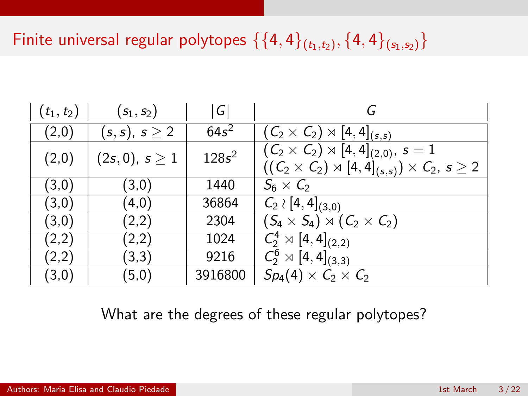# Finite universal regular polytopes  $\{\{4, 4\}_{(t_1, t_2)}, \{4, 4\}_{(s_1, s_2)}\}$

| $(t_1, t_2)$ | $(s_1,s_2)$        | G        | G                                                                                                                            |
|--------------|--------------------|----------|------------------------------------------------------------------------------------------------------------------------------|
| (2,0)        | $(s, s), s \geq 2$ | $64s^2$  | $(C_2 \times C_2) \rtimes [4,4]_{(s,s)}$                                                                                     |
| (2,0)        | $(2s, 0), s \ge 1$ | $128s^2$ | $\overline{(C_2 \times C_2)} \rtimes [4,4]_{(2,0)}, s = 1$<br>$((C_2 \times C_2) \rtimes [4,4]_{(s,s)}) \times C_2, s \ge 2$ |
| (3,0)        | (3,0)              | 1440     | $S_6 \times C_2$                                                                                                             |
| (3,0)        | (4, 0)             | 36864    | $C_2 \wr [4,4]_{(3,0)}$                                                                                                      |
| (3,0)        | (2,2)              | 2304     | $(S_4 \times S_4) \rtimes (C_2 \times C_2)$                                                                                  |
| (2,2)        | (2,2)              | 1024     | $\overline{C_2^4 \rtimes [4,4]}_{(2,2)}$                                                                                     |
| (2,2)        | (3,3)              | 9216     | $\overline{C_2^6} \rtimes [4,4]_{(3,3)}$                                                                                     |
| (3,0)        | (5,0)              | 3916800  | $Sp_4(4) \times C_2 \times C_2$                                                                                              |

What are the degrees of these regular polytopes?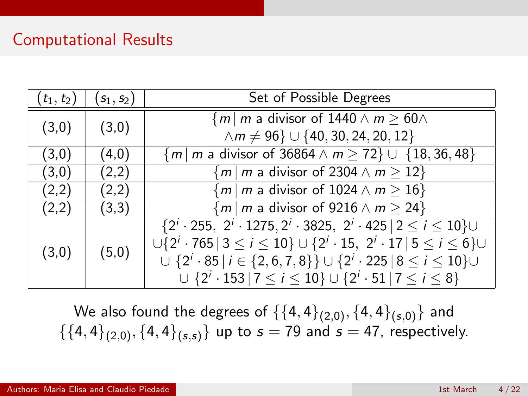### Computational Results

| $(t_1, t_2)$ | $(s_1, s_2)$ | Set of Possible Degrees                                                                                                                     |
|--------------|--------------|---------------------------------------------------------------------------------------------------------------------------------------------|
| (3,0)        | (3,0)        | $\{m \mid m \text{ a divisor of } 1440 \land m \geq 60 \land \}$                                                                            |
|              |              | $\wedge m \neq 96$ $\cup$ {40, 30, 24, 20, 12}                                                                                              |
| (3,0)        | (4,0)        | ${m \mid m \text{ a divisor of } 36864 \land m \ge 72} \cup \{18, 36, 48\}$                                                                 |
| (3,0)        | (2,2)        | ${m \mid m \text{ a divisor of } 2304 \land m \ge 12}$                                                                                      |
| (2,2)        | (2,2)        | $\sqrt{m/m}$ a divisor of 1024 $\land m \geq 16$                                                                                            |
| (2,2)        | (3,3)        | ${m \mid m \text{ a divisor of } 9216 \land m \geq 24}$                                                                                     |
| (3,0)        | (5,0)        | $\{2^i \cdot 255, 2^i \cdot 1275, 2^i \cdot 3825, 2^i \cdot 425 \mid 2 \leq i \leq 10\}$                                                    |
|              |              | $\bigcup\{2^i\cdot 765\, \,3\leq i\leq 10\}\cup\{2^i\cdot 15,\ 2^i\cdot 17\, \,5\leq i\leq 6\}\cup$                                         |
|              |              | $\cup$ {2 <sup><i>i</i></sup> · 85   <i>i</i> $\in$ {2, 6, 7, 8}} $\cup$ {2 <sup><i>i</i></sup> · 225   8 $\leq$ <i>i</i> $\leq$ 10} $\cup$ |
|              |              | ∪ ${2^i \cdot 153 \mid 7 \le i \le 10}$ ∪ ${2^i \cdot 51 \mid 7 \le i \le 8}$                                                               |

We also found the degrees of  $\{\{4,4\}_{(2,0)}, \{4,4\}_{(s,0)}\}$  and  $\{\{4,4\}_{(2,0)}, \{4,4\}_{(s,s)}\}$  up to  $s = 79$  and  $s = 47$ , respectively.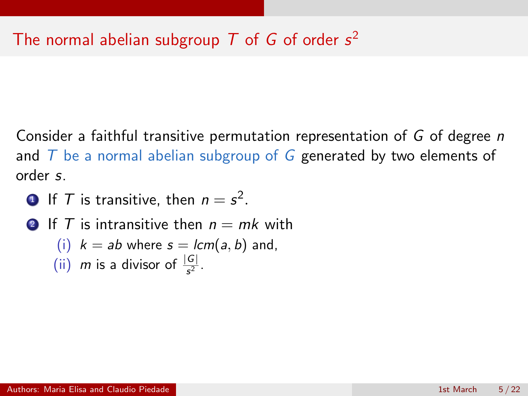## The normal abelian subgroup T of G of order  $s^2$

Consider a faithful transitive permutation representation of G of degree n and  $T$  be a normal abelian subgroup of G generated by two elements of order s.

**1** If  $T$  is transitive, then  $n = s^2$ .

**2** If T is intransitive then  $n = mk$  with

(i) 
$$
k = ab
$$
 where  $s = lcm(a, b)$  and,  
(ii) m is a divisor of  $|G|$ 

(ii) *m* is a divisor of 
$$
\frac{|G|}{s^2}
$$
.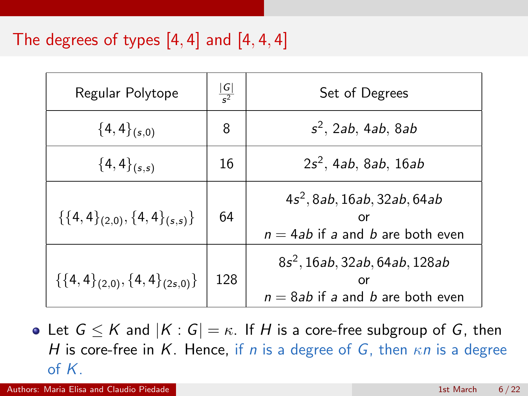## The degrees of types [4, 4] and [4, 4, 4]

| Regular Polytope                        | $\frac{ G }{s^2}$ | Set of Degrees                                                                        |
|-----------------------------------------|-------------------|---------------------------------------------------------------------------------------|
| ${4,4}_{(s,0)}$                         | 8                 | $s^2$ , 2ab, 4ab, 8ab                                                                 |
| ${4,4}_{(s,s)}$                         | 16                | $2s^2$ , 4ab, 8ab, 16ab                                                               |
| $\{\{4,4\}_{(2,0)}, \{4,4\}_{(s,s)}\}$  | 64                | $4s^2$ , 8ab, 16ab, 32ab, 64ab<br>or<br>$n = 4ab$ if a and b are both even            |
| $\{\{4,4\}_{(2,0)}, \{4,4\}_{(2s,0)}\}$ | 128               | 8s <sup>2</sup> , 16ab, 32ab, 64ab, 128ab<br>or<br>$n = 8ab$ if a and b are both even |

• Let  $G \leq K$  and  $|K : G| = \kappa$ . If H is a core-free subgroup of G, then H is core-free in K. Hence, if n is a degree of G, then  $\kappa n$  is a degree of K.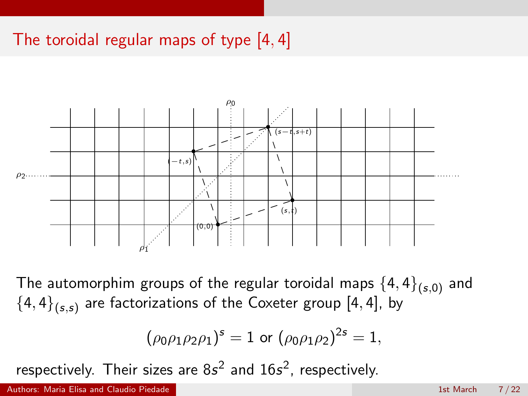## The toroidal regular maps of type [4, 4]



The automorphim groups of the regular toroidal maps  $\{4,4\}_{(s,0)}$  and  ${4, 4}_{(s,s)}$  are factorizations of the Coxeter group [4, 4], by

$$
(\rho_0 \rho_1 \rho_2 \rho_1)^s = 1 \text{ or } (\rho_0 \rho_1 \rho_2)^{2s} = 1,
$$

respectively. Their sizes are  $8s^2$  and  $16s^2$ , respectively.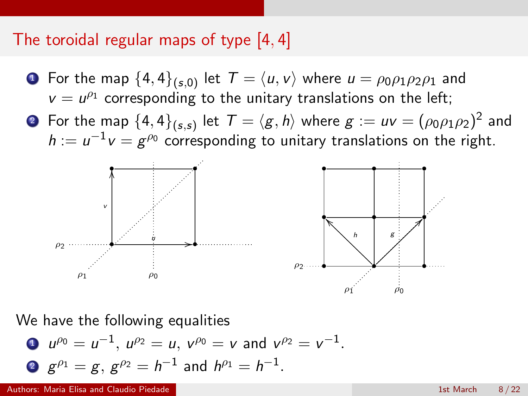#### The toroidal regular maps of type [4, 4]

- **1** For the map  $\{4, 4\}_{(s,0)}$  let  $T = \langle u, v \rangle$  where  $u = \rho_0 \rho_1 \rho_2 \rho_1$  and  $v = u^{\rho_1}$  corresponding to the unitary translations on the left;
- $\bullet\,$  For the map  $\{4,4\}_{(s,s)}$  let  $\, \mathcal{T}=\langle g,h\rangle$  where  $g:=u\mathsf{v}=(\rho_0\rho_1\rho_2)^2$  and  $h := u^{-1}v = g^{\rho_0}$  corresponding to unitary translations on the right.



We have the following equalities

\n- **0** 
$$
u^{\rho_0} = u^{-1}
$$
,  $u^{\rho_2} = u$ ,  $v^{\rho_0} = v$  and  $v^{\rho_2} = v^{-1}$ .
\n- **2**  $g^{\rho_1} = g$ ,  $g^{\rho_2} = h^{-1}$  and  $h^{\rho_1} = h^{-1}$ .
\n

Authors: Maria Elisa and Claudio Piedade 1st March 8 / 22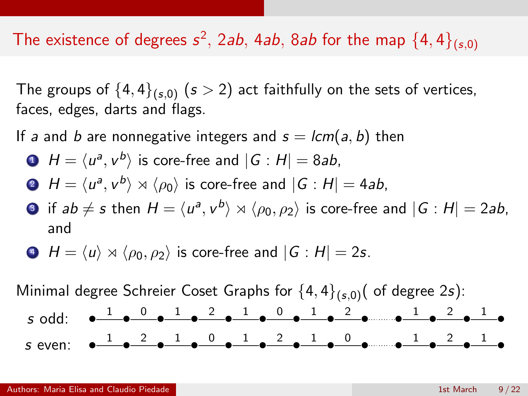# The existence of degrees  $s^2$ , 2ab, 4ab, 8ab for the map  $\{4,4\}_{(s,0)}$

The groups of  $\{4,4\}_{(s,0)}$   $(s > 2)$  act faithfully on the sets of vertices, faces, edges, darts and flags.

If a and b are nonnegative integers and  $s = lcm(a, b)$  then

• 
$$
H = \langle u^a, v^b \rangle
$$
 is core-free and  $|G : H| = 8ab$ ,

• 
$$
H = \langle u^a, v^b \rangle \rtimes \langle \rho_0 \rangle
$$
 is core-free and  $|G : H| = 4ab$ ,

 $\bullet\,$  if  $ab\neq s$  then  $H=\langle u^a, v^b\rangle\rtimes\langle \rho_0, \rho_2\rangle$  is core-free and  $|G:H|=2ab,$ and

• 
$$
H = \langle u \rangle \rtimes \langle \rho_0, \rho_2 \rangle
$$
 is core-free and  $|G : H| = 2s$ .

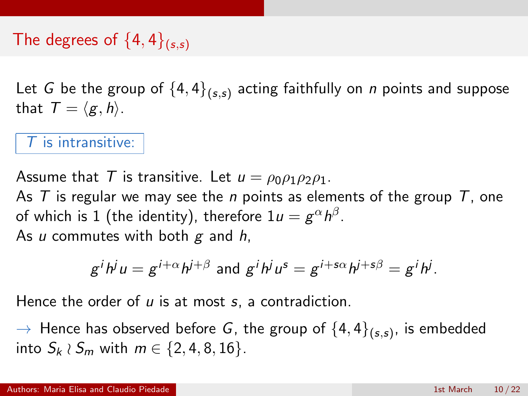### The degrees of  $\{4, 4\}_{(s,s)}$

Let G be the group of  $\{4,4\}_{(s,s)}$  acting faithfully on *n* points and suppose that  $T = \langle g, h \rangle$ .

#### $T$  is intransitive:

Assume that T is transitive. Let  $u = \rho_0 \rho_1 \rho_2 \rho_1$ . As T is regular we may see the n points as elements of the group T, one of which is  $1$  (the identity), therefore  $1u=g^\alpha h^\beta.$ As  $u$  commutes with both  $g$  and  $h$ ,

$$
g^ih^ju = g^{i+\alpha}h^{j+\beta} \text{ and } g^ih^ju^s = g^{i+s\alpha}h^{j+s\beta} = g^ih^j.
$$

Hence the order of  $u$  is at most  $s$ , a contradiction.

 $\rightarrow$  Hence has observed before  $G$ , the group of  $\{4,4\}_{(s,s)},$  is embedded into  $S_k \wr S_m$  with  $m \in \{2, 4, 8, 16\}.$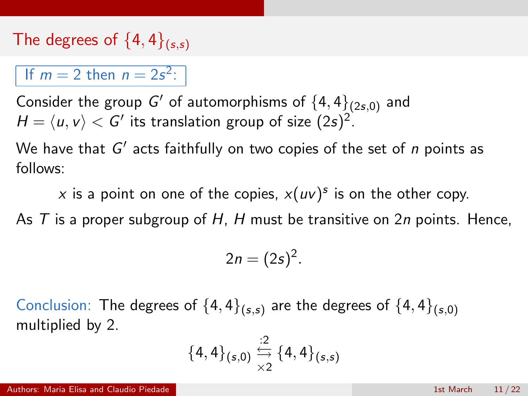The degrees of  $\{4, 4\}_{(s,s)}$ 

If  $m = 2$  then  $n = 2s^2$ :

Consider the group G' of automorphisms of  $\{4,4\}_{(2s,0)}$  and  $H = \langle u, v \rangle < G'$  its translation group of size  $(2s)^2$ .

We have that  $G'$  acts faithfully on two copies of the set of  $\overline{n}$  points as follows:

x is a point on one of the copies,  $x(uv)^s$  is on the other copy.

As T is a proper subgroup of H, H must be transitive on 2n points. Hence,

$$
2n=(2s)^2.
$$

Conclusion: The degrees of  $\{4,4\}_{(s,s)}$  are the degrees of  $\{4,4\}_{(s,0)}$ multiplied by 2.

$$
\{4,4\}_{(s,0)} \underset{\times 2}{\overset{.2}{\longleftrightarrow}} \{4,4\}_{(s,s)}
$$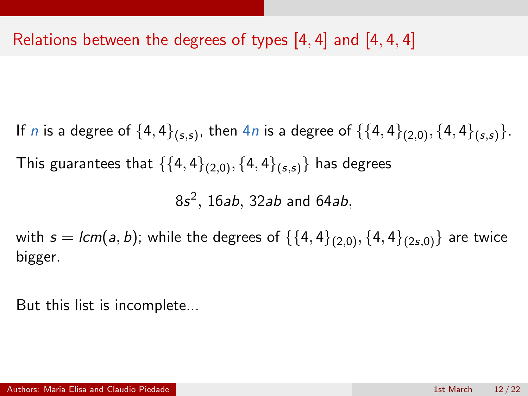### Relations between the degrees of types [4, 4] and [4, 4, 4]

If  $n$  is a degree of  $\{4,4\}_{(s,s)}$ , then  $4n$  is a degree of  $\{\{4,4\}_{(2,0)},\{4,4\}_{(s,s)}\}$ . This guarantees that  $\{\{4, 4\}_{(2,0)}, \{4, 4\}_{(s,s)}\}$  has degrees

 $8s^2$ , 16*ab*, 32*ab* and 64*ab*,

with  $s = lcm(a, b)$ ; while the degrees of  $\{\{4, 4\}_{(2,0)}, \{4, 4\}_{(2s,0)}\}$  are twice bigger.

But this list is incomplete...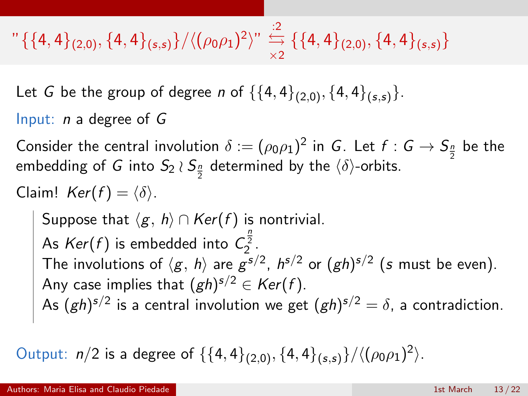## $"\{\{4,4\}_{(2,0)},\{4,4\}_{(s,s)}\}/\langle(\rho_0\rho_1)^2\rangle" \stackrel{:2}{\hookrightarrow}$  $\overleftrightarrow{\underset{\times2}{\rightleftharpoons}} \left\{ \{4,4\}_{(2,0)}, \{4,4\}_{(s,s)} \right\}$

Let G be the group of degree n of  $\{\{4,4\}_{(2,0)}, \{4,4\}_{(s,s)}\}.$ 

Input: n a degree of G

Consider the central involution  $\delta := (\rho_0 \rho_1)^2$  in G. Let  $f : G \to S_{\frac{n}{2}}$  be the embedding of  $G$  into  $\mathcal{S}_2 \wr \mathcal{S}_{\frac{n}{2}}$  determined by the  $\langle \delta \rangle$ -orbits. Claim!  $Ker(f) = \langle \delta \rangle$ .

Suppose that  $\langle g, h \rangle \cap \text{Ker}(f)$  is nontrivial. As  $Ker(f)$  is embedded into  $C_2^{\frac{n}{2}}$ . The involutions of  $\langle g, h \rangle$  are  $g^{s/2}$ ,  $h^{s/2}$  or  $(gh)^{s/2}$  (s must be even). Any case implies that  $(gh)^{s/2} \in \mathcal{K}er(f)$ . As  $(gh)^{s/2}$  is a central involution we get  $(gh)^{s/2} = \delta$ , a contradiction.

Output:  $n/2$  is a degree of  $\{\{4,4\}_{(2,0)}, \{4,4\}_{(s,s)}\}/\langle(\rho_0\rho_1)^2\rangle$ .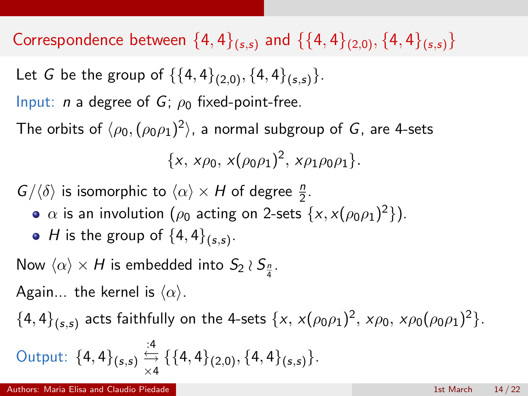## Correspondence between  $\{4, 4\}_{(s,s)}$  and  $\{\{4, 4\}_{(2,0)}, \{4, 4\}_{(s,s)}\}$

- Let G be the group of  $\{\{4,4\}_{(2,0)}, \{4,4\}_{(s,s)}\}.$
- Input: *n* a degree of  $G$ ;  $\rho_0$  fixed-point-free.
- The orbits of  $\langle \rho_0,(\rho_0\rho_1)^2\rangle$ , a normal subgroup of  $G$ , are 4-sets

 $\{x, x\rho_0, x(\rho_0\rho_1)^2, x\rho_1\rho_0\rho_1\}.$ 

- $G/\langle \delta \rangle$  is isomorphic to  $\langle \alpha \rangle \times H$  of degree  $\frac{n}{2}$ .
	- $\alpha$  is an involution ( $\rho_0$  acting on 2-sets  $\{x, x(\rho_0\rho_1)^2\}).$
	- *H* is the group of  $\{4,4\}_{(s,s)}$ .

Now  $\langle \alpha \rangle \times H$  is embedded into  $\mathcal{S}_2 \wr \mathcal{S}_{\frac{n}{4}}$ .

- Again... the kernel is  $\langle \alpha \rangle$ .
- $\{4,4\}_{(s,s)}$  acts faithfully on the 4-sets  $\{x, x(\rho_0\rho_1)^2, x\rho_0, x\rho_0(\rho_0\rho_1)^2\}.$

Output: 
$$
\{4,4\}_{(s,s)} \stackrel{:4}{\underset{\times}{\longleftrightarrow}} \{ \{4,4\}_{(2,0)}, \{4,4\}_{(s,s)} \}.
$$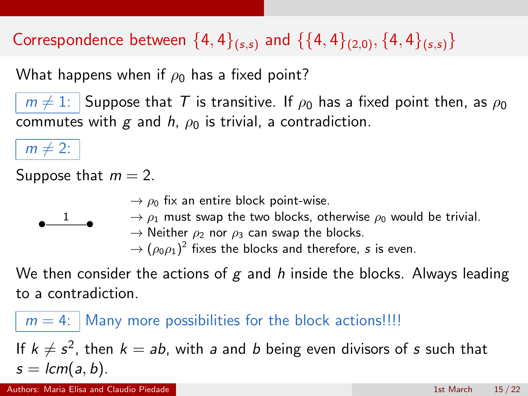# Correspondence between  $\{4,4\}_{(s,s)}$  and  $\{\{4,4\}_{(2,0)}, \{4,4\}_{(s,s)}\}$

What happens when if  $\rho_0$  has a fixed point?

 $m \neq 1$ : Suppose that T is transitive. If  $\rho_0$  has a fixed point then, as  $\rho_0$ commutes with g and h,  $\rho_0$  is trivial, a contradiction.

 $m \neq 2$ :

Suppose that  $m = 2$ .

- $\rightarrow \rho_0$  fix an entire block point-wise.
- 1 •  $\rightarrow$   $\rho_1$  must swap the two blocks, otherwise  $\rho_0$  would be trivial.
	- $\rightarrow$  Neither  $\rho_2$  nor  $\rho_3$  can swap the blocks.
	- $\rightarrow (\rho_0\rho_1)^2$  fixes the blocks and therefore,  $s$  is even.

We then consider the actions of  $g$  and h inside the blocks. Always leading to a contradiction.

$$
\boxed{m = 4:}
$$
 Many more possibilities for the block actions!!!!  
If  $k \neq s^2$ , then  $k = ab$ , with a and b being even divisors of s such that  
 $s = lcm(a, b)$ .

Authors: Maria Elisa and Claudio Piedade 1st March 15/22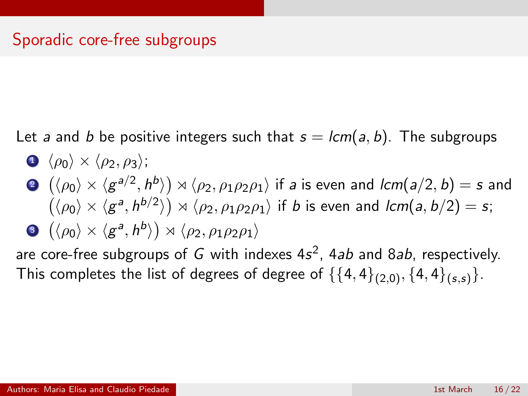Let a and b be positive integers such that  $s = lcm(a, b)$ . The subgroups

- $\bigcirc$   $\langle \rho_0 \rangle \times \langle \rho_2, \rho_3 \rangle$ ;
- $\big(\langle\rho_0\rangle\times\langle g^{a/2}, h^b\rangle\big)\rtimes\langle\rho_2, \rho_1\rho_2\rho_1\rangle$  if a is even and  ${\it lcm}(a/2, b)=s$  and  $\big(\langle \rho_0\rangle\times\langle g^a,h^{b/2}\rangle\big)\rtimes \langle \rho_2,\rho_1\rho_2\rho_1\rangle$  if *b* is even and  ${\sf lcm}(a,b/2)=s;$  $\big(\langle \rho_0\rangle\times\langle g^a,h^b\rangle\big)\rtimes\langle \rho_2,\rho_1\rho_2\rho_1\rangle$

are core-free subgroups of G with indexes  $4s^2$ ,  $4ab$  and  $8ab$ , respectively. This completes the list of degrees of degree of  $\{\{4,4\}_{(2,0)}, \{4,4\}_{(s,s)}\}.$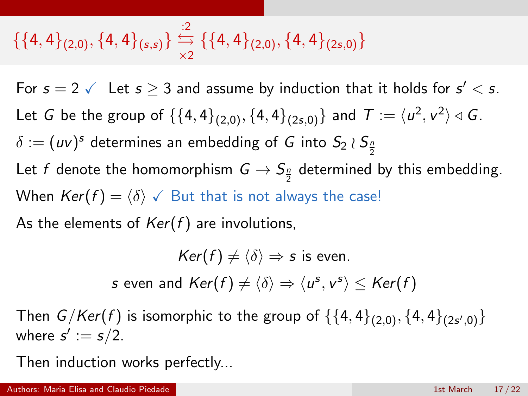$$
\{\{4,4\}_{(2,0)},\{4,4\}_{(s,s)}\} \stackrel{?2}{\underset{\times}{\leftrightarrow}} \{\{4,4\}_{(2,0)},\{4,4\}_{(2s,0)}\}
$$

For  $s = 2 \checkmark$  Let  $s \geq 3$  and assume by induction that it holds for  $s' < s$ . Let  $G$  be the group of  $\{\{4,4\}_{(2,0)}, \{4,4\}_{(2s,0)}\}$  and  $\mathcal{T}:=\langle u^2,v^2\rangle\triangleleft G.$  $\delta:=(\mathit{uv})^{\mathsf{s}}$  determines an embedding of  $G$  into  $\mathcal{S}_2\wr\mathcal{S}_{\frac{\eta}{2}}$ Let  $f$  denote the homomorphism  $G \to S_{\frac{n}{2}}$  determined by this embedding. When  $Ker(f) = \langle \delta \rangle$   $\checkmark$  But that is not always the case! As the elements of  $Ker(f)$  are involutions,

> $Ker(f) \neq \langle \delta \rangle \Rightarrow s$  is even. is even and  $Ker(f) \neq \langle \delta \rangle \Rightarrow \langle u^s, v^s \rangle \leq Ker(f)$

Then  $G/Ker(f)$  is isomorphic to the group of  $\{\{4,4\}_{(2,0)},\{4,4\}_{(2s',0)}\}$ where  $s' := s/2$ .

Then induction works perfectly...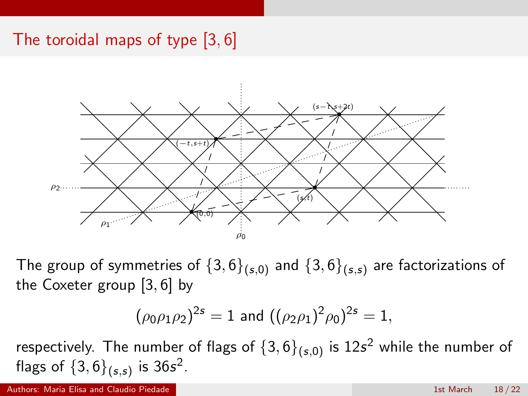## The toroidal maps of type [3, 6]



The group of symmetries of  $\{3,6\}_{(s,0)}$  and  $\{3,6\}_{(s,s)}$  are factorizations of the Coxeter group [3, 6] by

$$
(\rho_0 \rho_1 \rho_2)^{2s} = 1
$$
 and 
$$
((\rho_2 \rho_1)^2 \rho_0)^{2s} = 1
$$
,

respectively. The number of flags of  $\{3,6\}_{(s,0)}$  is  $12s^2$  while the number of flags of  $\{3,6\}_{(s,s)}$  is 36s<sup>2</sup>.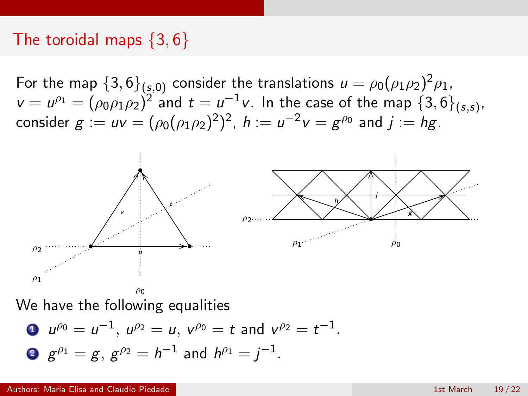### The toroidal maps {3, 6}

For the map  $\{3,6\}_{(\varepsilon,0)}$  consider the translations  $u = \rho_0 (\rho_1 \rho_2)^2 \rho_1$ ,  $v = u^{\rho_1} = (\rho_0 \rho_1 \rho_2)^2$  and  $t = u^{-1}v$ . In the case of the map  $\{3, 6\}_{(s,s)}$ , consider  $g := uv = (\rho_0(\rho_1\rho_2)^2)^2$ ,  $h := u^{-2}v = g^{\rho_0}$  and  $j := hg$ .



We have the following equalities

\n- **0** 
$$
u^{\rho_0} = u^{-1}
$$
,  $u^{\rho_2} = u$ ,  $v^{\rho_0} = t$  and  $v^{\rho_2} = t^{-1}$ .
\n- **2**  $g^{\rho_1} = g$ ,  $g^{\rho_2} = h^{-1}$  and  $h^{\rho_1} = j^{-1}$ .
\n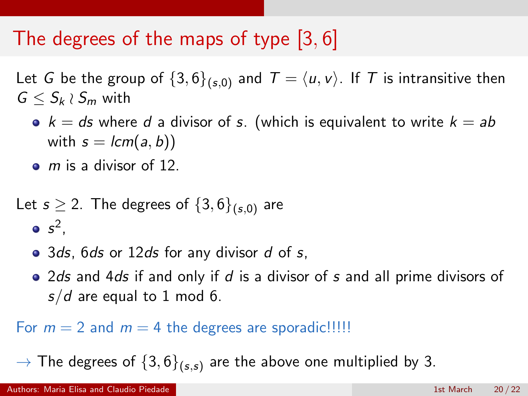# The degrees of the maps of type [3, 6]

Let G be the group of  $\{3, 6\}_{(s,0)}$  and  $T = \langle u, v \rangle$ . If T is intransitive then  $G \leq S_k \wr S_m$  with

- $k = ds$  where d a divisor of s. (which is equivalent to write  $k = ab$ with  $s = lcm(a, b)$
- $\bullet$  m is a divisor of 12.

Let 
$$
s \geq 2
$$
. The degrees of  $\{3, 6\}_{(s,0)}$  are

$$
\bullet \; s^2,
$$

- 3ds, 6ds or 12ds for any divisor d of s,
- $\bullet$  2ds and 4ds if and only if d is a divisor of s and all prime divisors of  $s/d$  are equal to 1 mod 6.

For  $m = 2$  and  $m = 4$  the degrees are sporadic!!!!!

 $\rightarrow$  The degrees of  $\{3,6\}_{(s,s)}$  are the above one multiplied by 3.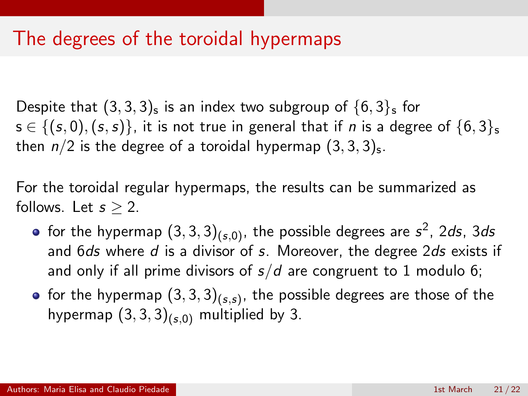# The degrees of the toroidal hypermaps

Despite that  $(3,3,3)_{\mathsf{s}}$  is an index two subgroup of  $\{6,3\}_{\mathsf{s}}$  for  $s \in \{(s,0), (s,s)\}\$ , it is not true in general that if *n* is a degree of  $\{6,3\}$ then  $n/2$  is the degree of a toroidal hypermap  $(3,3,3)_{\mathsf{s}}$ .

For the toroidal regular hypermaps, the results can be summarized as follows. Let  $s \geq 2$ .

- for the hypermap  $\left(3,3,3\right)_{(s,0)}$ , the possible degrees are  $s^2$ , 2ds, 3ds and  $6ds$  where  $d$  is a divisor of s. Moreover, the degree  $2ds$  exists if and only if all prime divisors of  $s/d$  are congruent to 1 modulo 6;
- for the hypermap  $\left(3,3,3\right)_{(s,s)},$  the possible degrees are those of the hypermap  $(3, 3, 3)_{(s,0)}$  multiplied by 3.